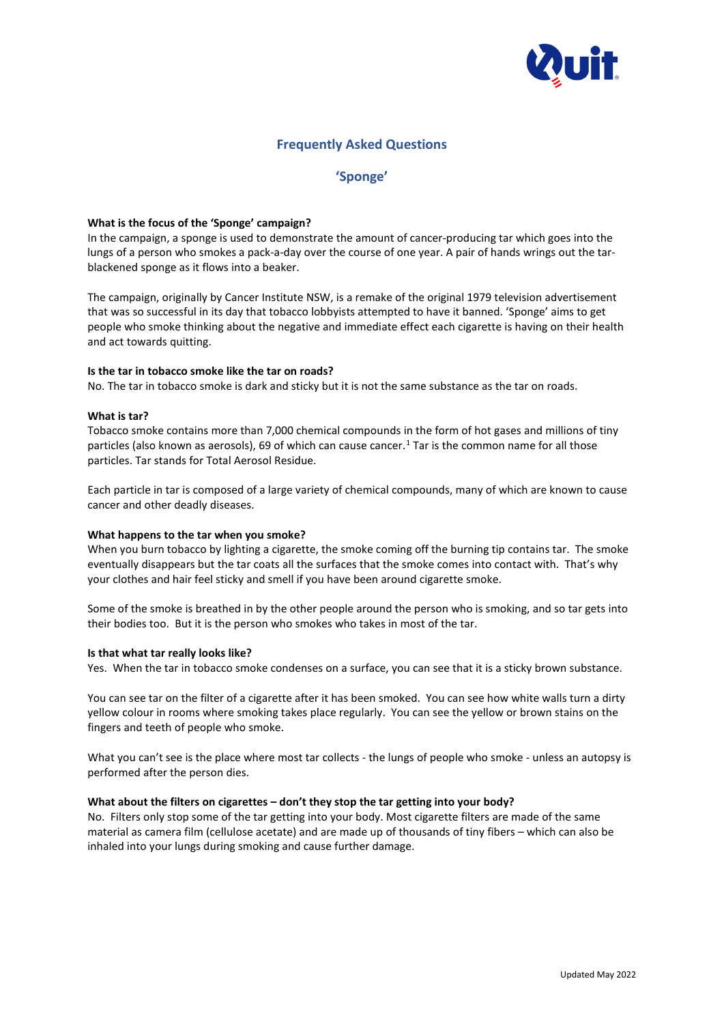

# **Frequently Asked Questions**

# **'Sponge'**

## **What is the focus of the 'Sponge' campaign?**

In the campaign, a sponge is used to demonstrate the amount of cancer-producing tar which goes into the lungs of a person who smokes a pack-a-day over the course of one year. A pair of hands wrings out the tarblackened sponge as it flows into a beaker.

The campaign, originally by Cancer Institute NSW, is a remake of the original 1979 television advertisement that was so successful in its day that tobacco lobbyists attempted to have it banned. 'Sponge' aims to get people who smoke thinking about the negative and immediate effect each cigarette is having on their health and act towards quitting.

#### **Is the tar in tobacco smoke like the tar on roads?**

No. The tar in tobacco smoke is dark and sticky but it is not the same substance as the tar on roads.

#### **What is tar?**

Tobacco smoke contains more than 7,000 chemical compounds in the form of hot gases and millions of tiny particles (also known as aerosols), 69 of which can cause cancer. [1](#page-1-0) Tar is the common name for all those particles. Tar stands for Total Aerosol Residue.

Each particle in tar is composed of a large variety of chemical compounds, many of which are known to cause cancer and other deadly diseases.

#### **What happens to the tar when you smoke?**

When you burn tobacco by lighting a cigarette, the smoke coming off the burning tip contains tar. The smoke eventually disappears but the tar coats all the surfaces that the smoke comes into contact with. That's why your clothes and hair feel sticky and smell if you have been around cigarette smoke.

Some of the smoke is breathed in by the other people around the person who is smoking, and so tar gets into their bodies too. But it is the person who smokes who takes in most of the tar.

#### **Is that what tar really looks like?**

Yes. When the tar in tobacco smoke condenses on a surface, you can see that it is a sticky brown substance.

You can see tar on the filter of a cigarette after it has been smoked. You can see how white walls turn a dirty yellow colour in rooms where smoking takes place regularly. You can see the yellow or brown stains on the fingers and teeth of people who smoke.

What you can't see is the place where most tar collects - the lungs of people who smoke - unless an autopsy is performed after the person dies.

#### **What about the filters on cigarettes – don't they stop the tar getting into your body?**

No. Filters only stop some of the tar getting into your body. Most cigarette filters are made of the same material as camera film (cellulose acetate) and are made up of thousands of tiny fibers – which can also be inhaled into your lungs during smoking and cause further damage.